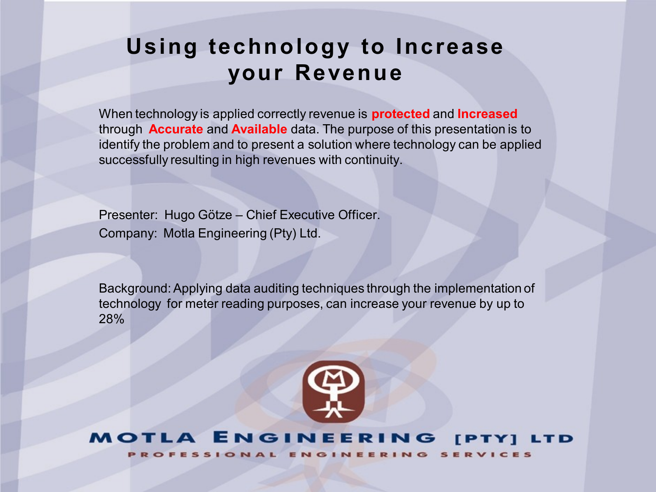# **Using technology to Increase your Revenue**

When technology is applied correctly revenue is **protected** and **Increased** through **Accurate** and **Available** data. The purpose of this presentation is to identify the problem and to present a solution where technology can be applied successfully resulting in high revenues with continuity.

Presenter: Hugo Götze – Chief Executive Officer. Company: Motla Engineering (Pty) Ltd.

Background: Applying data auditing techniques through the implementation of technology for meter reading purposes, can increase your revenue by up to 28%



#### NGINEE EТ TD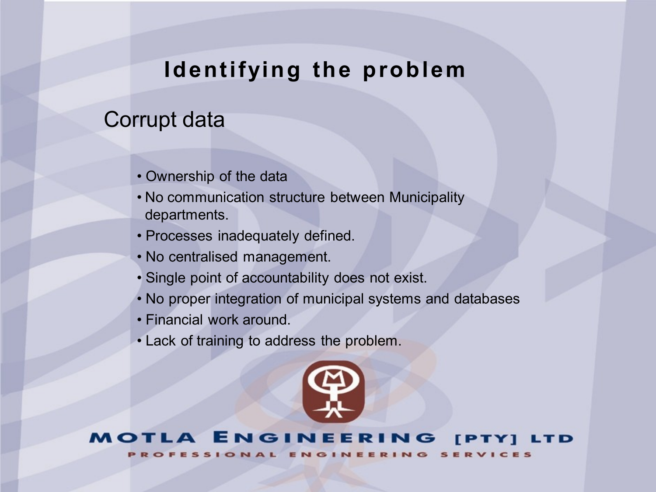# **Identifying the problem**

# Corrupt data

- Ownership of the data
- No communication structure between Municipality departments.
- Processes inadequately defined.
- No centralised management.
- Single point of accountability does not exist.
- No proper integration of municipal systems and databases
- Financial work around.
- Lack of training to address the problem.



#### NGINEE ЕT TD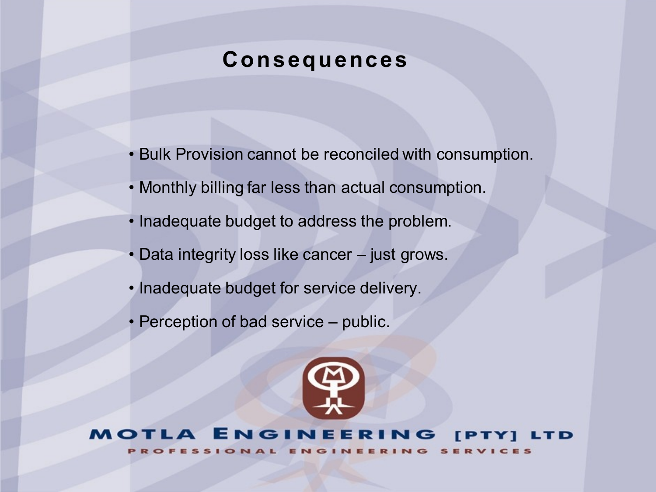# **Consequences**

- Bulk Provision cannot be reconciled with consumption.
- Monthly billing far less than actual consumption.
- Inadequate budget to address the problem.
- Data integrity loss like cancer just grows.
- Inadequate budget for service delivery.
- Perception of bad service public.



#### ENGINEERING **IPTYI** LTD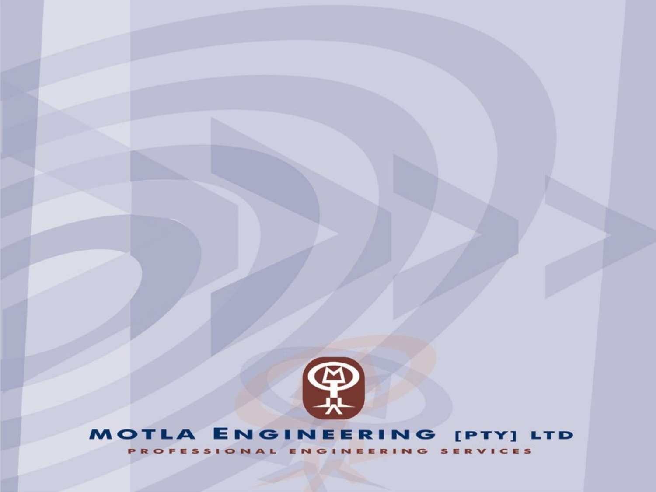

# MOTLA ENGINEERING [PTY] LTD

PROFESSIONAL ENGINEERING SERVICES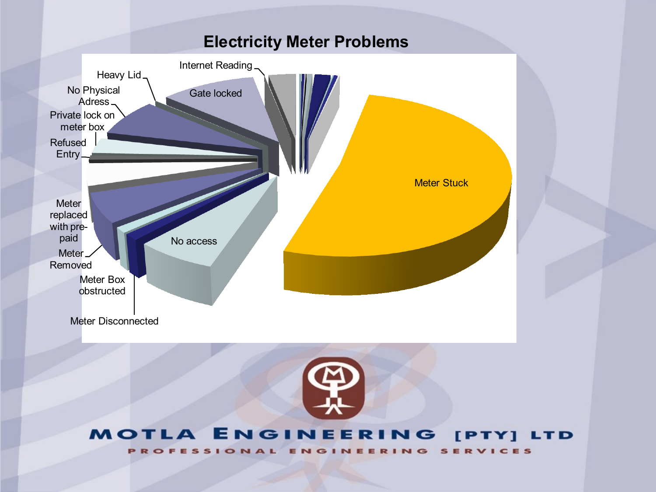## **Electricity Meter Problems**





#### **MOTLA ENGINEERING** [PTY] LTD ONAL ENGINEERING **SERVICES ROF** s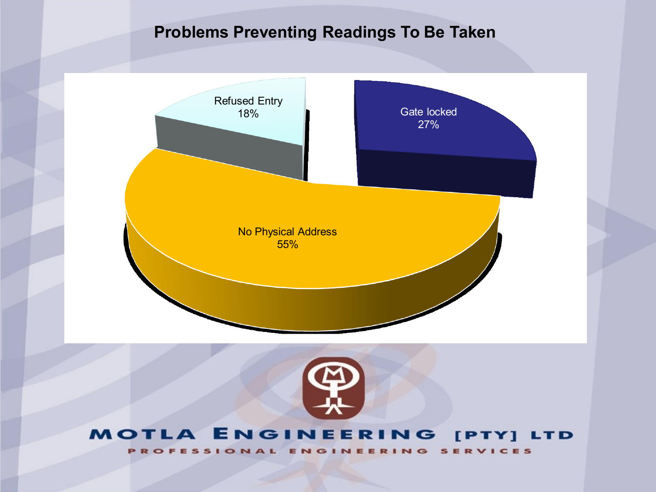## **Problems Preventing Readings To Be Taken**





#### MOTLA ENGINEERING [PTY] LTD

ENGINEERING **SERVICES PROFESSIONAL**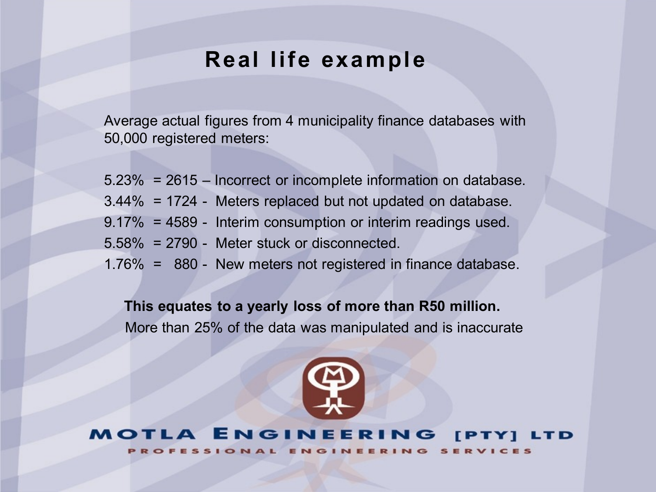## **Real life example**

Average actual figures from 4 municipality finance databases with 50,000 registered meters:

5.23% = 2615 – Incorrect or incomplete information on database. 3.44% = 1724 - Meters replaced but not updated on database. 9.17% = 4589 - Interim consumption or interim readings used. 5.58% = 2790 - Meter stuck or disconnected. 1.76% = 880 - New meters not registered in finance database.

**This equates to a yearly loss of more than R50 million.** 

More than 25% of the data was manipulated and is inaccurate



**ENGINEERING IPTY1** LTD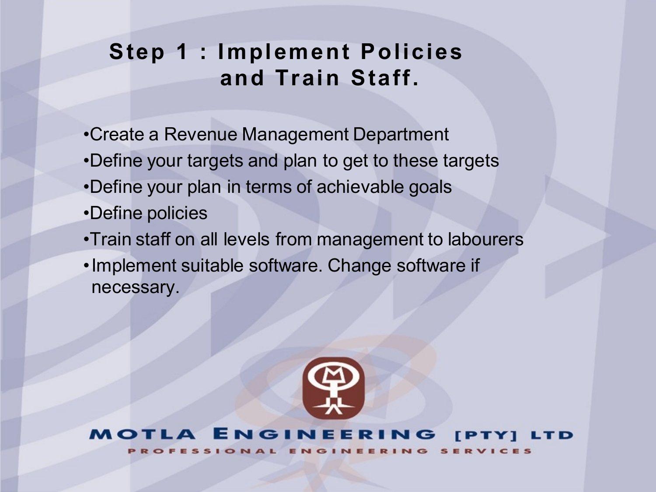# **Step 1 : Implement Policies and Train Staff.**

- •Create a Revenue Management Department
- •Define your targets and plan to get to these targets
- •Define your plan in terms of achievable goals
- •Define policies
- •Train staff on all levels from management to labourers
- •Implement suitable software. Change software if necessary.



#### ENGINEERING ТD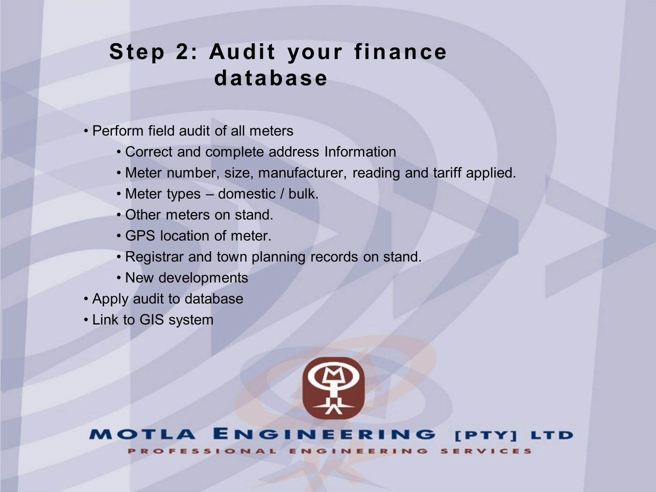# **Step 2: Audit your finance database**

- Perform field audit of all meters
	- Correct and complete address Information
	- Meter number, size, manufacturer, reading and tariff applied.
	- Meter types domestic / bulk.
	- Other meters on stand.
	- GPS location of meter.
	- Registrar and town planning records on stand.
	- New developments
- Apply audit to database
- Link to GIS system



#### **ENGINEERING FPTY1** LTD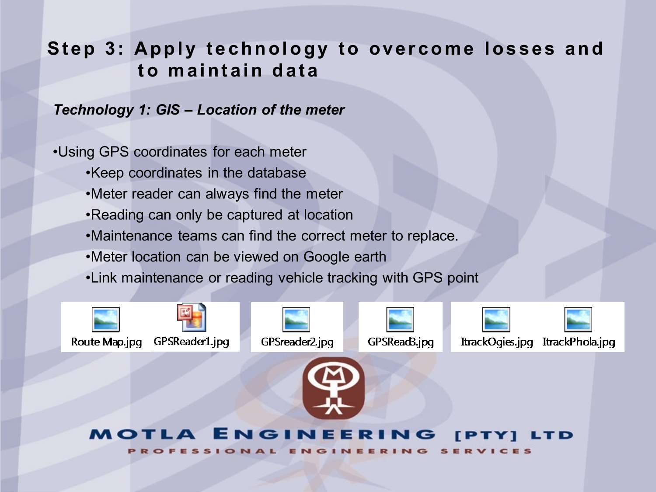*Technology 1: GIS – Location of the meter*

•Using GPS coordinates for each meter

- •Keep coordinates in the database
- •Meter reader can always find the meter
- •Reading can only be captured at location
- •Maintenance teams can find the correct meter to replace.
- •Meter location can be viewed on Google earth
- •Link maintenance or reading vehicle tracking with GPS point







GPSRead3.jpg

ItrackOgies.jpg

ItrackPhola.jpg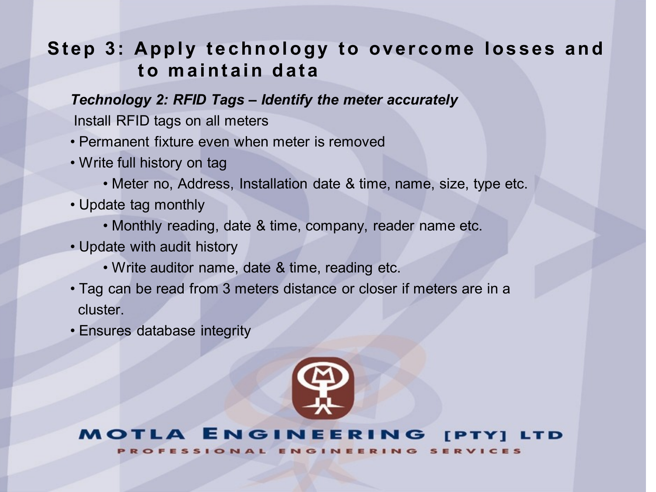## *Technology 2: RFID Tags – Identify the meter accurately*

Install RFID tags on all meters

- Permanent fixture even when meter is removed
- Write full history on tag
	- Meter no, Address, Installation date & time, name, size, type etc.
- Update tag monthly
	- Monthly reading, date & time, company, reader name etc.
- Update with audit history
	- Write auditor name, date & time, reading etc.
- Tag can be read from 3 meters distance or closer if meters are in a cluster.
- Ensures database integrity



#### A ENGINEERING **TPT**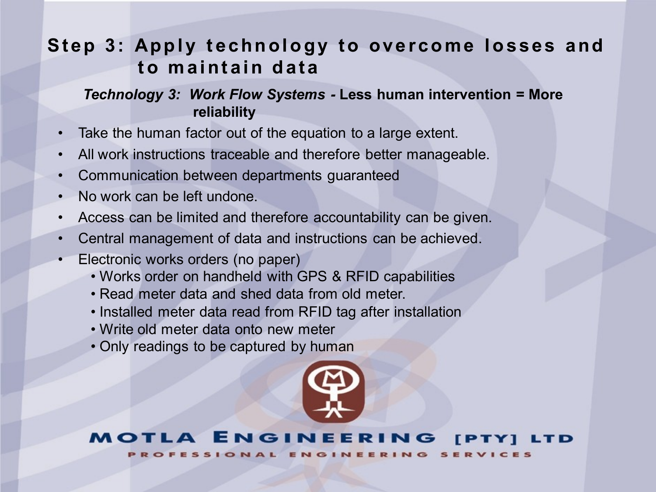## *Technology 3: Work Flow Systems -* **Less human intervention = More reliability**

- Take the human factor out of the equation to a large extent.
- All work instructions traceable and therefore better manageable.
- Communication between departments guaranteed
- No work can be left undone.
- Access can be limited and therefore accountability can be given.
- Central management of data and instructions can be achieved.
- Electronic works orders (no paper)
	- Works order on handheld with GPS & RFID capabilities
	- Read meter data and shed data from old meter.
	- Installed meter data read from RFID tag after installation
	- Write old meter data onto new meter
	- Only readings to be captured by human



#### ET NGIN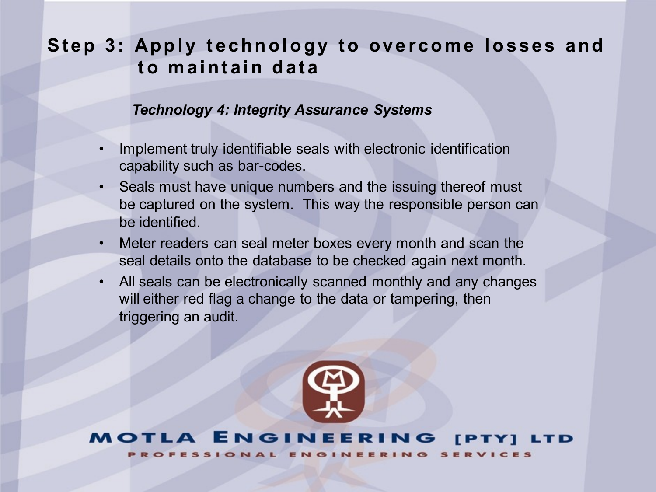#### *Technology 4: Integrity Assurance Systems*

- Implement truly identifiable seals with electronic identification capability such as bar-codes.
- Seals must have unique numbers and the issuing thereof must be captured on the system. This way the responsible person can be identified.
- Meter readers can seal meter boxes every month and scan the seal details onto the database to be checked again next month.
- All seals can be electronically scanned monthly and any changes will either red flag a change to the data or tampering, then triggering an audit.

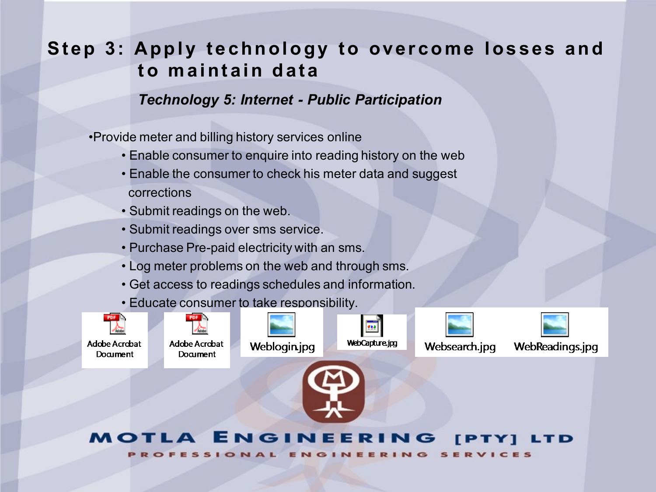## *Technology 5: Internet - Public Participation*

•Provide meter and billing history services online

- Enable consumer to enquire into reading history on the web
- Enable the consumer to check his meter data and suggest corrections
- Submit readings on the web.
- Submit readings over sms service.
- Purchase Pre-paid electricity with an sms.
- Log meter problems on the web and through sms.
- Get access to readings schedules and information.
- Educate consumer to take responsibility.



#### NGINEEI EТ TD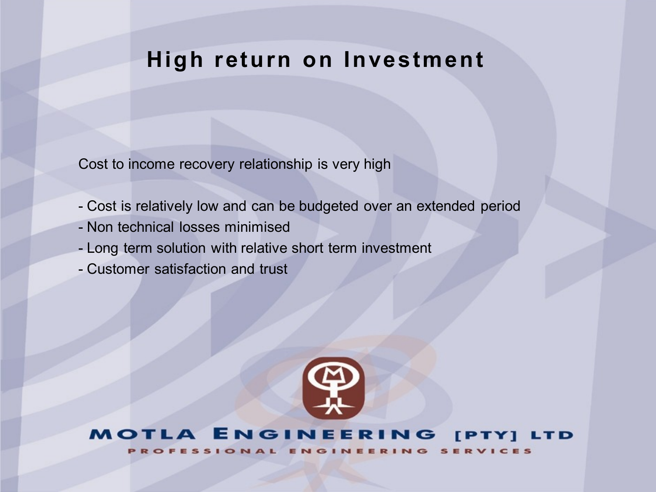# **High return on Investment**

Cost to income recovery relationship is very high

- Cost is relatively low and can be budgeted over an extended period
- Non technical losses minimised
- Long term solution with relative short term investment
- Customer satisfaction and trust



#### **ENGINEERING**  $\mathbf{A}$ **[PTY] LTD**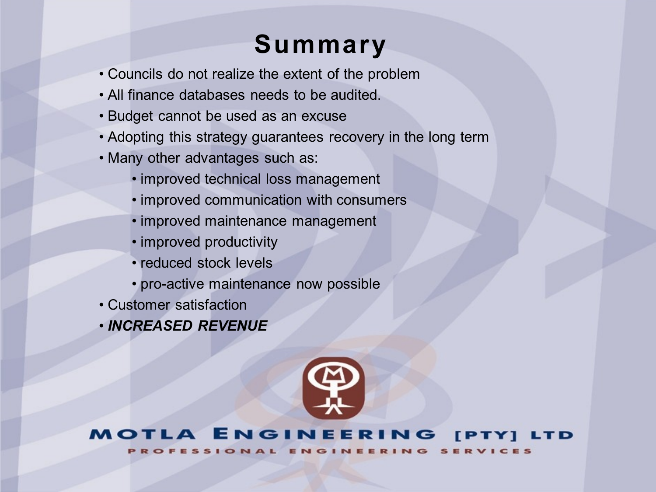# **Summary**

- Councils do not realize the extent of the problem
- All finance databases needs to be audited.
- Budget cannot be used as an excuse
- Adopting this strategy guarantees recovery in the long term
- Many other advantages such as:
	- improved technical loss management
	- improved communication with consumers
	- improved maintenance management
	- improved productivity
	- reduced stock levels
	- pro-active maintenance now possible
- Customer satisfaction
- *INCREASED REVENUE*



#### ENGINEERING **FPTY1** LTD